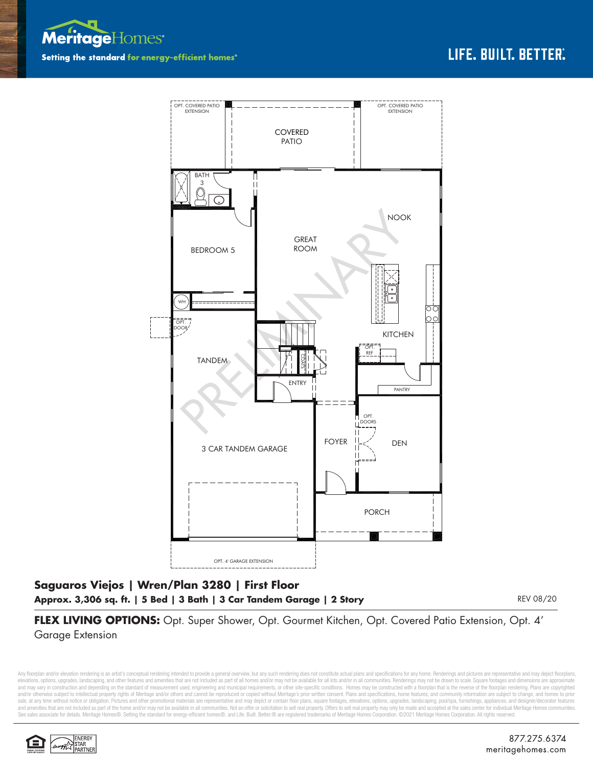



## **Saguaros Viejos | Wren/Plan 3280 | First Floor Approx. 3,306 sq. ft. | 5 Bed | 3 Bath | 3 Car Tandem Garage | 2 Story**

REV 08/20

**FLEX LIVING OPTIONS:** Opt. Super Shower, Opt. Gourmet Kitchen, Opt. Covered Patio Extension, Opt. 4' Garage Extension

Any floorplan and/or elevation rendering is an artist's conceptual rendering intended to provide a general overview, but any such rendering does not constitute actual plans and specifications for any home. Renderings and p elevations, options, upgrades, landscaping, and other features and amenities that are not included as part of all homes and/or may not be available for all lots and/or in all communities. Renderings may not be drawn to sca and may vary in construction and depending on the standard of measurement used, engineering and municipal requirements, or other site-specific conditions. Homes may be constructed with a floorplan that is the reverse of th and/or otherwise subject to intellectual property rights of Meritage and/or others and cannot be reproduced or copied without Meritage's prior written consent. Plans and specifications, home features, and community informa sale, at any time without notice or obligation. Pictures and other promotional materials are representative and may depict or contain floor plans, square footages, elevations, options, upgrades, landscaping, pool/spa, furn See sales associate for details. Meritage Homes®, Setting the standard for energy-efficient homes®, and Life. Built. Better.® are registered trademarks of Meritage Homes Corporation. ©2021 Meritage Homes Corporation. All r

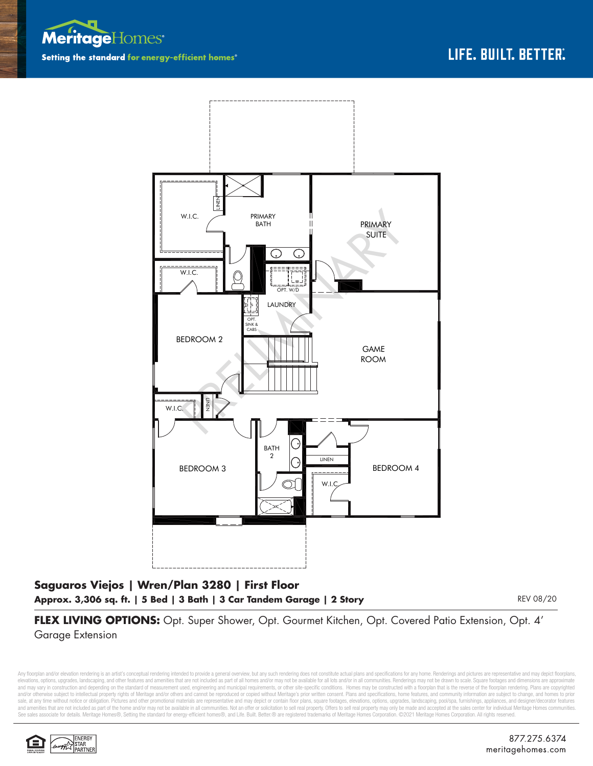



## **Saguaros Viejos | Wren/Plan 3280 | First Floor Approx. 3,306 sq. ft. | 5 Bed | 3 Bath | 3 Car Tandem Garage | 2 Story**

REV 08/20

**FLEX LIVING OPTIONS:** Opt. Super Shower, Opt. Gourmet Kitchen, Opt. Covered Patio Extension, Opt. 4' Garage Extension

Any floorplan and/or elevation rendering is an artist's conceptual rendering intended to provide a general overview, but any such rendering does not constitute actual plans and specifications for any home. Renderings and p elevations, options, upgrades, landscaping, and other features and amenities that are not included as part of all homes and/or may not be available for all lots and/or in all communities. Renderings may not be drawn to sca and may vary in construction and depending on the standard of measurement used, engineering and municipal requirements, or other site-specific conditions. Homes may be constructed with a floorplan that is the reverse of th and/or otherwise subject to intellectual property rights of Meritage and/or others and cannot be reproduced or copied without Meritage's prior written consent. Plans and specifications, home features, and community informa sale, at any time without notice or obligation. Pictures and other promotional materials are representative and may depict or contain floor plans, square footages, elevations, options, upgrades, landscaping, pool/spa, furn See sales associate for details. Meritage Homes®, Setting the standard for energy-efficient homes®, and Life. Built. Better. @ are registered trademarks of Meritage Homes Corporation. ©2021 Meritage Homes Corporation. All